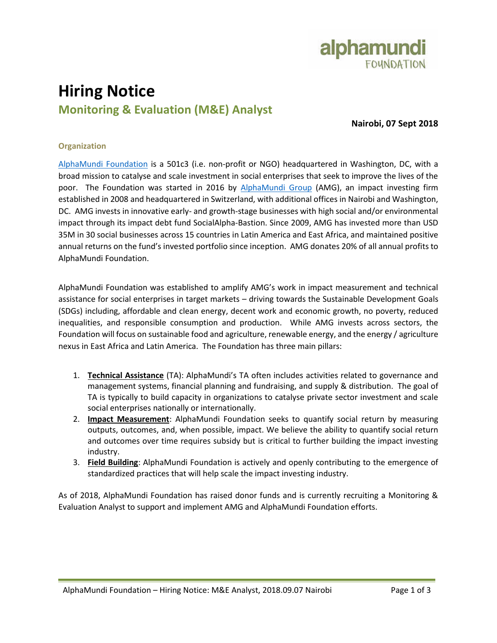

# **Hiring Notice Monitoring & Evaluation (M&E) Analyst**

**Nairobi, 07 Sept 2018**

## **Organization**

[AlphaMundi Foundation](http://www.alphamundifoundation.org/) is a 501c3 (i.e. non-profit or NGO) headquartered in Washington, DC, with a broad mission to catalyse and scale investment in social enterprises that seek to improve the lives of the poor. The Foundation was started in 2016 by [AlphaMundi](http://www.alphamundi.ch/) Group (AMG), an impact investing firm established in 2008 and headquartered in Switzerland, with additional offices in Nairobi and Washington, DC. AMG invests in innovative early- and growth-stage businesses with high social and/or environmental impact through its impact debt fund SocialAlpha-Bastion. Since 2009, AMG has invested more than USD 35M in 30 social businesses across 15 countries in Latin America and East Africa, and maintained positive annual returns on the fund's invested portfolio since inception. AMG donates 20% of all annual profits to AlphaMundi Foundation.

AlphaMundi Foundation was established to amplify AMG's work in impact measurement and technical assistance for social enterprises in target markets – driving towards the Sustainable Development Goals (SDGs) including, affordable and clean energy, decent work and economic growth, no poverty, reduced inequalities, and responsible consumption and production. While AMG invests across sectors, the Foundation will focus on sustainable food and agriculture, renewable energy, and the energy / agriculture nexus in East Africa and Latin America. The Foundation has three main pillars:

- 1. **Technical Assistance** (TA): AlphaMundi's TA often includes activities related to governance and management systems, financial planning and fundraising, and supply & distribution. The goal of TA is typically to build capacity in organizations to catalyse private sector investment and scale social enterprises nationally or internationally.
- 2. **Impact Measurement**: AlphaMundi Foundation seeks to quantify social return by measuring outputs, outcomes, and, when possible, impact. We believe the ability to quantify social return and outcomes over time requires subsidy but is critical to further building the impact investing industry.
- 3. **Field Building**: AlphaMundi Foundation is actively and openly contributing to the emergence of standardized practices that will help scale the impact investing industry.

As of 2018, AlphaMundi Foundation has raised donor funds and is currently recruiting a Monitoring & Evaluation Analyst to support and implement AMG and AlphaMundi Foundation efforts.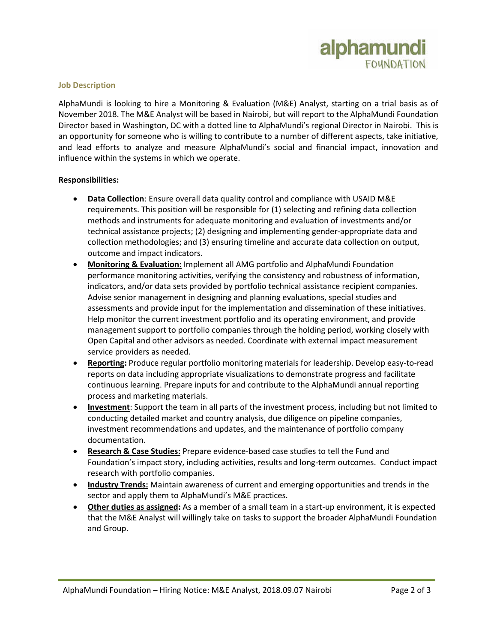

#### **Job Description**

AlphaMundi is looking to hire a Monitoring & Evaluation (M&E) Analyst, starting on a trial basis as of November 2018. The M&E Analyst will be based in Nairobi, but will report to the AlphaMundi Foundation Director based in Washington, DC with a dotted line to AlphaMundi's regional Director in Nairobi. This is an opportunity for someone who is willing to contribute to a number of different aspects, take initiative, and lead efforts to analyze and measure AlphaMundi's social and financial impact, innovation and influence within the systems in which we operate.

### **Responsibilities:**

- **Data Collection**: Ensure overall data quality control and compliance with USAID M&E requirements. This position will be responsible for (1) selecting and refining data collection methods and instruments for adequate monitoring and evaluation of investments and/or technical assistance projects; (2) designing and implementing gender-appropriate data and collection methodologies; and (3) ensuring timeline and accurate data collection on output, outcome and impact indicators.
- **Monitoring & Evaluation:** Implement all AMG portfolio and AlphaMundi Foundation performance monitoring activities, verifying the consistency and robustness of information, indicators, and/or data sets provided by portfolio technical assistance recipient companies. Advise senior management in designing and planning evaluations, special studies and assessments and provide input for the implementation and dissemination of these initiatives. Help monitor the current investment portfolio and its operating environment, and provide management support to portfolio companies through the holding period, working closely with Open Capital and other advisors as needed. Coordinate with external impact measurement service providers as needed.
- **Reporting:** Produce regular portfolio monitoring materials for leadership. Develop easy-to-read reports on data including appropriate visualizations to demonstrate progress and facilitate continuous learning. Prepare inputs for and contribute to the AlphaMundi annual reporting process and marketing materials.
- **Investment**: Support the team in all parts of the investment process, including but not limited to conducting detailed market and country analysis, due diligence on pipeline companies, investment recommendations and updates, and the maintenance of portfolio company documentation.
- **Research & Case Studies:** Prepare evidence-based case studies to tell the Fund and Foundation's impact story, including activities, results and long-term outcomes. Conduct impact research with portfolio companies.
- **Industry Trends:** Maintain awareness of current and emerging opportunities and trends in the sector and apply them to AlphaMundi's M&E practices.
- **Other duties as assigned:** As a member of a small team in a start-up environment, it is expected that the M&E Analyst will willingly take on tasks to support the broader AlphaMundi Foundation and Group.